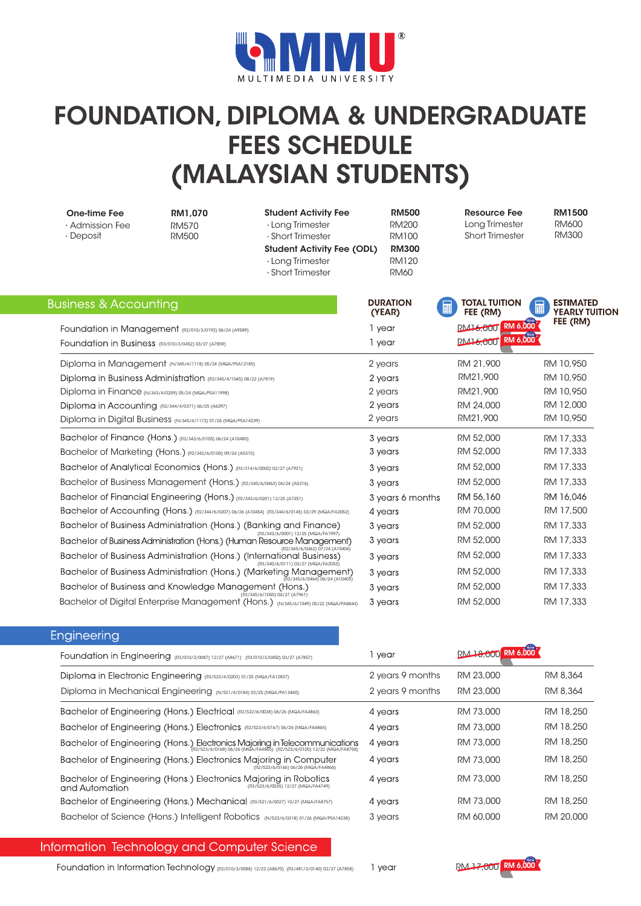

## FOUNDATION, DIPLOMA & UNDERGRADUATE FEES SCHEDULE (MALAYSIAN STUDENTS)

| One-time Fee<br>· Admission Fee<br>$\cdot$ Deposit                                                            | RM1.070<br><b>RM570</b><br><b>RM500</b> | <b>Student Activity Fee</b><br>$\cdot$ Long Trimester<br>· Short Trimester<br><b>Student Activity Fee (ODL)</b><br>· Long Trimester<br>· Short Trimester | <b>RM500</b><br><b>RM200</b><br><b>RM100</b><br><b>RM300</b><br><b>RM120</b><br><b>RM60</b> | <b>Resource Fee</b><br>Long Trimester<br><b>Short Trimester</b> | <b>RM1500</b><br><b>RM600</b><br><b>RM300</b>  |
|---------------------------------------------------------------------------------------------------------------|-----------------------------------------|----------------------------------------------------------------------------------------------------------------------------------------------------------|---------------------------------------------------------------------------------------------|-----------------------------------------------------------------|------------------------------------------------|
| Business & Accounting                                                                                         |                                         |                                                                                                                                                          | <b>DURATION</b><br>(YEAR)                                                                   | <b>TOTAL TUITION</b><br>圜<br>FEE (RM)                           | <b>ESTIMATED</b><br>圛<br><b>YEARLY TUITION</b> |
| Foundation in Management (R2/010/3/0192) 06/24 (A9589)                                                        |                                         |                                                                                                                                                          | 1 year                                                                                      | RM16,000 RM 6,000                                               | FEE (RM)                                       |
| Foundation in Business (R3/010/3/0452) 03/27 (A7859)                                                          |                                         |                                                                                                                                                          | 1 year                                                                                      | <b>PM16,000 RM 6,000</b>                                        |                                                |
| Diploma in Management (N/345/4/1118) 05/24 (MQA/PSA12185)                                                     |                                         |                                                                                                                                                          | 2 years                                                                                     | RM 21,900                                                       | RM 10,950                                      |
| Diploma in Business Administration (R2/345/4/1045) 08/22 (A7819)                                              |                                         |                                                                                                                                                          | 2 years                                                                                     | RM21,900                                                        | RM 10,950                                      |
| Diploma in Finance (N/343/4/0259) 05/24 (MQA/PSA11998)                                                        |                                         |                                                                                                                                                          | 2 years                                                                                     | RM21,900                                                        | RM 10,950                                      |
| Diploma in Accounting (R2/344/4/0371) 06/25 (A6297)                                                           |                                         |                                                                                                                                                          | 2 years                                                                                     | RM 24,000                                                       | RM 12,000                                      |
| Diploma in Digital Business (N/345/4/1172) 01/26 (MQA/PSA14239)                                               |                                         |                                                                                                                                                          | 2 years                                                                                     | RM21,900                                                        | RM 10,950                                      |
| Bachelor of Finance (Hons.) (R2/343/6/0105) 06/24 (A10480)                                                    |                                         |                                                                                                                                                          | 3 years                                                                                     | RM 52,000                                                       | RM 17,333                                      |
| Bachelor of Marketing (Hons.) (R2/342/6/0100) 09/24 (A5315)                                                   |                                         |                                                                                                                                                          | 3 years                                                                                     | RM 52,000                                                       | RM 17,333                                      |
| Bachelor of Analytical Economics (Hons.) (R3/314/6/0002) 02/27 (A7921)                                        |                                         |                                                                                                                                                          | 3 years                                                                                     | RM 52,000                                                       | RM 17,333                                      |
| Bachelor of Business Management (Hons.) (R2/345/6/0463) 06/24 (A5316)                                         |                                         |                                                                                                                                                          | 3 years                                                                                     | RM 52,000                                                       | RM 17,333                                      |
| Bachelor of Financial Engineering (Hons.) (R2/343/6/0201) 12/25 (A7351)                                       |                                         |                                                                                                                                                          | 3 years 6 months                                                                            | RM 56,160                                                       | RM 16,046                                      |
|                                                                                                               |                                         | Bachelor of Accounting (Hons.) (R2/344/6/0207) 06/26 (A10454) (R3/344/6/0145) 03/29 (MQA/FA2052)                                                         | 4 years                                                                                     | RM 70,000                                                       | RM 17,500                                      |
|                                                                                                               |                                         | Bachelor of Business Administration (Hons.) (Banking and Finance)                                                                                        | 3 years                                                                                     | RM 52,000                                                       | RM 17,333                                      |
| (R3/343/6/0001) 12/25 (MQA/FA1997)<br>Bachelor of Business Administration (Hons.) (Human Resource Management) |                                         |                                                                                                                                                          | 3 years                                                                                     | RM 52,000                                                       | RM 17,333                                      |
|                                                                                                               |                                         | (R2/345/6/0462) 07/24 (A10406)<br>Bachelor of Business Administration (Hons.) (International Business)                                                   | 3 years                                                                                     | RM 52,000                                                       | RM 17,333                                      |
|                                                                                                               |                                         | (R3/340/6/0111) 03/27 (MQA/FA2053)<br>Bachelor of Business Administration (Hons.) (Marketing Management)                                                 | 3 years                                                                                     | RM 52,000                                                       | RM 17,333                                      |
| Bachelor of Business and Knowledge Management (Hons.)                                                         |                                         | $($ R2/345/6/0464) 06/24 (A10405)                                                                                                                        | 3 years                                                                                     | RM 52,000                                                       | RM 17,333                                      |
|                                                                                                               |                                         | (R3/345/6/1050) 06/27 (A7961)<br>Bachelor of Digital Enterprise Management (Hons.) (N/345/6/1049) 05/22 (MQA/PA8844)                                     | 3 years                                                                                     | RM 52,000                                                       | RM 17,333                                      |
|                                                                                                               |                                         |                                                                                                                                                          |                                                                                             |                                                                 |                                                |

|  | Engineering |  |  |
|--|-------------|--|--|
|  |             |  |  |

| Foundation in Engineering (R3/010/3/0087) 12/27 (A8671) (R3/010/3/0450) 03/27 (A7857)                                                                                                  | 1 year           | RM 18,000 RM 6,000 |           |
|----------------------------------------------------------------------------------------------------------------------------------------------------------------------------------------|------------------|--------------------|-----------|
| Diploma in Electronic Engineering (R2/523/4/0203) 01/25 (MQA/FA12837)                                                                                                                  | 2 years 9 months | RM 23,000          | RM 8,364  |
| Diploma in Mechanical Engineering (N/521/4/0184) 03/25 (MQA/PA13460)                                                                                                                   | 2 years 9 months | RM 23,000          | RM 8.364  |
| Bachelor of Engineering (Hons.) Electrical (R2/522/6/0038) 06/26 (MQA/FA4863)                                                                                                          | 4 years          | RM 73,000          | RM 18,250 |
| Bachelor of Engineering (Hons.) Electronics (R2/523/6/0167) 06/26 (MQA/FA4864)                                                                                                         | 4 years          | RM 73,000          | RM 18,250 |
| Bachelor of Engineering (Hons.) Electronics Majoring in Telecommunications<br>(RZ)523/6/0168) 06/26 (MQA/FAASS5) (RZ)523/6/0168) 06/26 (MQA/FAASS5) (RZ)523/6/0100) 12/22 (MQA/FA8758) | 4 years          | RM 73,000          | RM 18,250 |
| Bachelor of Engineering (Hons.) Electronics Majoring in Computer<br>(R2/523/6/0166) 06/26 (MQA/FA4866)                                                                                 | 4 years          | RM 73,000          | RM 18,250 |
| Bachelor of Engineering (Hons.) Electronics Majoring in Robotics<br>(R3/523/6/0035) 12/27 (MQA/FA4749)<br>and Automation                                                               | 4 years          | RM 73,000          | RM 18,250 |
| Bachelor of Engineering (Hons.) Mechanical (R3/521/6/0027) 10/27 (MQA/FA8757)                                                                                                          | 4 years          | RM 73,000          | RM 18,250 |
| Bachelor of Science (Hons.) Intelligent Robotics (N/523/6/0318) 01/26 (MQA/PSA14238)                                                                                                   | 3 years          | RM 60,000          | RM 20,000 |

## Information Technology and Computer Science

Foundation in Information Technology (R2/010/3/0088) 12/22 (A8670) (R3/481/3/0140) 02/27 (A7858) 1 year